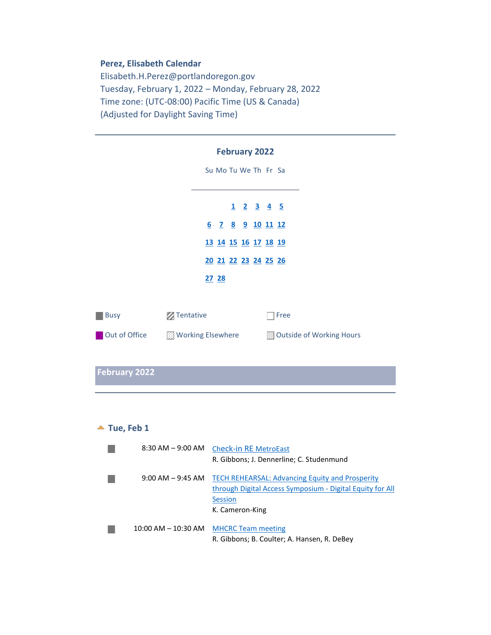#### **Perez, Elisabeth Calendar**

Elisabeth.H.Perez@portlandoregon.gov Tuesday, February 1, 2022 – Monday, February 28, 2022 Time zone: (UTC-08:00) Pacific Time (US & Canada) (Adjusted for Daylight Saving Time)

|                      |                     |                      |  | <b>February 2022</b>                |                          |                                 |  |  |
|----------------------|---------------------|----------------------|--|-------------------------------------|--------------------------|---------------------------------|--|--|
|                      |                     | Su Mo Tu We Th Fr Sa |  |                                     |                          |                                 |  |  |
|                      |                     |                      |  | $1 \quad 2 \quad 3 \quad 4 \quad 5$ |                          |                                 |  |  |
|                      |                     | 6 7 8 9 10 11 12     |  |                                     |                          |                                 |  |  |
|                      |                     | 13 14 15 16 17 18 19 |  |                                     |                          |                                 |  |  |
|                      |                     | 20 21 22 23 24 25 26 |  |                                     |                          |                                 |  |  |
|                      |                     | 27 28                |  |                                     |                          |                                 |  |  |
| <b>Busy</b>          | Tentative           |                      |  |                                     |                          | Free                            |  |  |
| Out of Office        | ि Working Elsewhere |                      |  |                                     | $\overline{\phantom{a}}$ | <b>Outside of Working Hours</b> |  |  |
|                      |                     |                      |  |                                     |                          |                                 |  |  |
| <b>February 2022</b> |                     |                      |  |                                     |                          |                                 |  |  |
|                      |                     |                      |  |                                     |                          |                                 |  |  |

#### $\blacktriangle$  Tue, Feb 1

<span id="page-0-0"></span>

| $8:30$ AM $-9:00$ AM    | <b>Check-in RE MetroEast</b><br>R. Gibbons; J. Dennerline; C. Studenmund                                                                                 |
|-------------------------|----------------------------------------------------------------------------------------------------------------------------------------------------------|
| $9:00$ AM $-9:45$ AM    | <b>TECH REHEARSAL: Advancing Equity and Prosperity</b><br>through Digital Access Symposium - Digital Equity for All<br><b>Session</b><br>K. Cameron-King |
| $10:00$ AM $- 10:30$ AM | <b>MHCRC Team meeting</b><br>R. Gibbons; B. Coulter; A. Hansen, R. DeBey                                                                                 |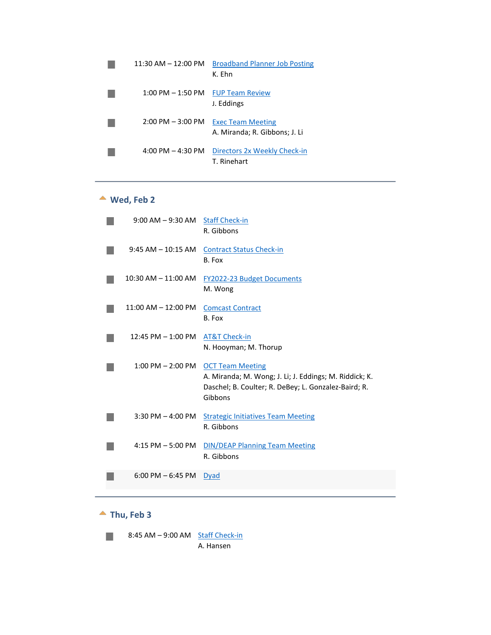| $11:30$ AM $-12:00$ PM              | <b>Broadband Planner Job Posting</b><br>K. Fhn            |
|-------------------------------------|-----------------------------------------------------------|
| $1:00$ PM $-1:50$ PM                | <b>FUP Team Review</b><br>J. Eddings                      |
| $2:00$ PM $-3:00$ PM                | <b>Exec Team Meeting</b><br>A. Miranda; R. Gibbons; J. Li |
| $4:00 \text{ PM} - 4:30 \text{ PM}$ | Directors 2x Weekly Check-in<br>T. Rinehart               |

# **Wed, Feb 2**

<span id="page-1-0"></span>

| $9:00$ AM $-9:30$ AM    | <b>Staff Check-in</b><br>R. Gibbons                                                                                                                  |
|-------------------------|------------------------------------------------------------------------------------------------------------------------------------------------------|
| $9:45 AM - 10:15 AM$    | <b>Contract Status Check-in</b><br>B. Fox                                                                                                            |
| 10:30 AM – 11:00 AM     | <b>FY2022-23 Budget Documents</b><br>M. Wong                                                                                                         |
| $11:00$ AM $- 12:00$ PM | <b>Comcast Contract</b><br>B. Fox                                                                                                                    |
| $12:45$ PM $- 1:00$ PM  | <b>AT&amp;T Check-in</b><br>N. Hooyman; M. Thorup                                                                                                    |
| $1:00$ PM $- 2:00$ PM   | <b>OCT Team Meeting</b><br>A. Miranda; M. Wong; J. Li; J. Eddings; M. Riddick; K.<br>Daschel; B. Coulter; R. DeBey; L. Gonzalez-Baird; R.<br>Gibbons |
| $3:30$ PM $-$ 4:00 PM   | <b>Strategic Initiatives Team Meeting</b><br>R. Gibbons                                                                                              |
| $4:15$ PM $-5:00$ PM    | <b>DIN/DEAP Planning Team Meeting</b><br>R. Gibbons                                                                                                  |
| $6:00$ PM $-6:45$ PM    | <b>Dyad</b>                                                                                                                                          |

# **Thu, Feb 3**

<span id="page-1-1"></span>8:45 AM – 9:00 AM **Staff Check-in** M. A. Hansen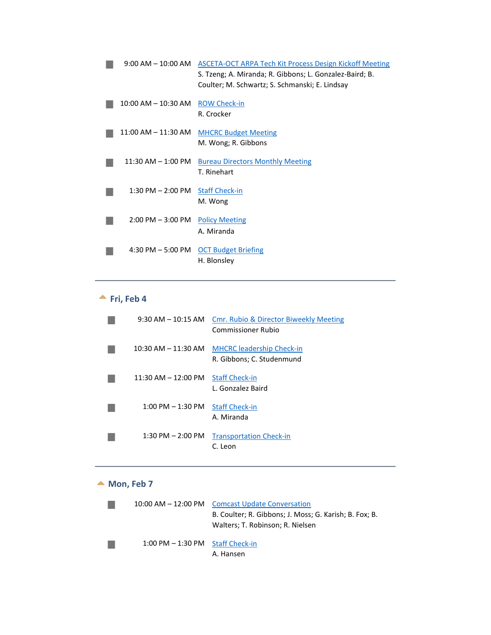| $9:00$ AM $-10:00$ AM   | <b>ASCETA-OCT ARPA Tech Kit Process Design Kickoff Meeting</b><br>S. Tzeng; A. Miranda; R. Gibbons; L. Gonzalez-Baird; B.<br>Coulter; M. Schwartz; S. Schmanski; E. Lindsay |
|-------------------------|-----------------------------------------------------------------------------------------------------------------------------------------------------------------------------|
| $10:00$ AM $- 10:30$ AM | <b>ROW Check-in</b><br>R. Crocker                                                                                                                                           |
| $11:00$ AM $-11:30$ AM  | <b>MHCRC Budget Meeting</b><br>M. Wong; R. Gibbons                                                                                                                          |
| $11:30$ AM $- 1:00$ PM  | <b>Bureau Directors Monthly Meeting</b><br>T. Rinehart                                                                                                                      |
| $1:30$ PM $- 2:00$ PM   | <b>Staff Check-in</b><br>M. Wong                                                                                                                                            |
| $2:00$ PM $-3:00$ PM    | <b>Policy Meeting</b><br>A. Miranda                                                                                                                                         |
| $4:30$ PM $-5:00$ PM    | <b>OCT Budget Briefing</b><br>H. Blonsley                                                                                                                                   |
|                         |                                                                                                                                                                             |

### **Fri, Feb 4**

<span id="page-2-0"></span>

| $9:30$ AM $- 10:15$ AM              | Cmr. Rubio & Director Biweekly Meeting<br>Commissioner Rubio  |
|-------------------------------------|---------------------------------------------------------------|
| $10:30$ AM $- 11:30$ AM             | <b>MHCRC</b> leadership Check-in<br>R. Gibbons; C. Studenmund |
| $11:30$ AM $- 12:00$ PM             | <b>Staff Check-in</b><br>L. Gonzalez Baird                    |
| $1:00 \text{ PM} - 1:30 \text{ PM}$ | <b>Staff Check-in</b><br>A. Miranda                           |
| 1:30 PM $-$ 2:00 PM                 | <b>Transportation Check-in</b><br>C. Leon                     |

### ▲ Mon, Feb 7

<span id="page-2-1"></span>

|                                     | 10:00 AM - 12:00 PM Comcast Update Conversation                                            |
|-------------------------------------|--------------------------------------------------------------------------------------------|
|                                     | B. Coulter; R. Gibbons; J. Moss; G. Karish; B. Fox; B.<br>Walters; T. Robinson; R. Nielsen |
| $1:00$ PM $-1:30$ PM Staff Check-in | A. Hansen                                                                                  |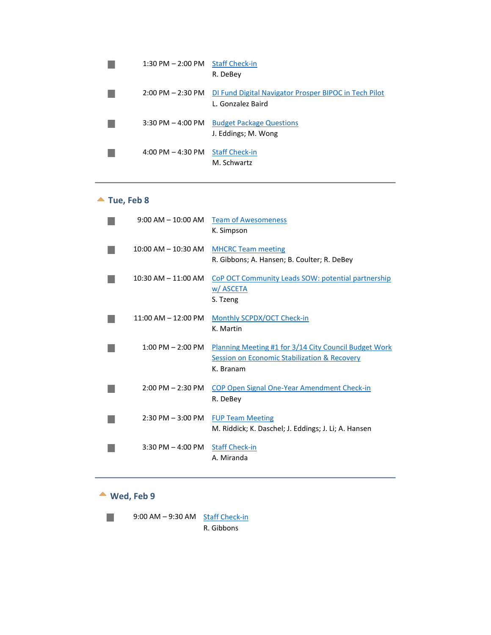| 1:30 PM $-$ 2:00 PM Staff Check-in  | R. DeBey                                                                                     |
|-------------------------------------|----------------------------------------------------------------------------------------------|
|                                     | 2:00 PM – 2:30 PM DI Fund Digital Navigator Prosper BIPOC in Tech Pilot<br>L. Gonzalez Baird |
| $3:30$ PM $-$ 4:00 PM               | <b>Budget Package Questions</b><br>J. Eddings; M. Wong                                       |
| $4:00 \text{ PM} - 4:30 \text{ PM}$ | <b>Staff Check-in</b><br>M. Schwartz                                                         |

▲ Tue, Feb 8

<span id="page-3-0"></span>

| $9:00 \, \text{AM} - 10:00 \, \text{AM}$ | <b>Team of Awesomeness</b><br>K. Simpson                                                                                      |
|------------------------------------------|-------------------------------------------------------------------------------------------------------------------------------|
| 10:00 AM - 10:30 AM                      | <b>MHCRC Team meeting</b><br>R. Gibbons; A. Hansen; B. Coulter; R. DeBey                                                      |
| $10:30$ AM $- 11:00$ AM                  | CoP OCT Community Leads SOW: potential partnership<br>w/ ASCETA<br>S. Tzeng                                                   |
| $11:00$ AM $- 12:00$ PM                  | Monthly SCPDX/OCT Check-in<br>K. Martin                                                                                       |
| $1:00$ PM $- 2:00$ PM                    | Planning Meeting #1 for 3/14 City Council Budget Work<br><b>Session on Economic Stabilization &amp; Recovery</b><br>K. Branam |
| $2:00$ PM $- 2:30$ PM                    | <b>COP Open Signal One-Year Amendment Check-in</b><br>R. DeBev                                                                |
| $2:30$ PM $-3:00$ PM                     | <b>FUP Team Meeting</b><br>M. Riddick; K. Daschel; J. Eddings; J. Li; A. Hansen                                               |
| $3:30$ PM $-$ 4:00 PM                    | <b>Staff Check-in</b><br>A. Miranda                                                                                           |

#### **Wed, Feb 9**

<span id="page-3-1"></span>9:00 AM  $-$  9:30 AM  $\frac{\text{Staff Check-in}}{\text{Staff}}$  $\mathbb{R}^n$ R. Gibbons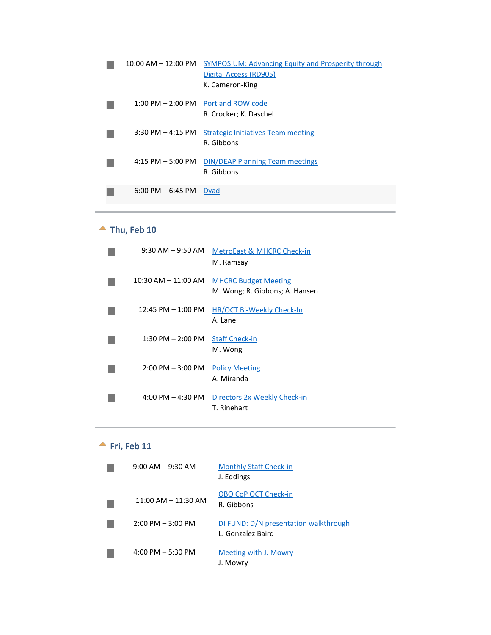|                       | 10:00 AM – 12:00 PM SYMPOSIUM: Advancing Equity and Prosperity through<br>Digital Access (RD905)<br>K. Cameron-King |
|-----------------------|---------------------------------------------------------------------------------------------------------------------|
|                       | 1:00 PM - 2:00 PM Portland ROW code<br>R. Crocker; K. Daschel                                                       |
| $3:30$ PM $-$ 4:15 PM | Strategic Initiatives Team meeting<br>R. Gibbons                                                                    |
| $4:15$ PM $-5:00$ PM  | <b>DIN/DEAP Planning Team meetings</b><br>R. Gibbons                                                                |
| $6:00$ PM $-6:45$ PM  | <b>Dyad</b>                                                                                                         |

### **Thu, Feb 10**

<span id="page-4-0"></span>

| $9:30$ AM $-9:50$ AM                | MetroEast & MHCRC Check-in<br>M. Ramsay                       |
|-------------------------------------|---------------------------------------------------------------|
| $10:30$ AM $ 11:00$ AM              | <b>MHCRC Budget Meeting</b><br>M. Wong; R. Gibbons; A. Hansen |
| $12:45$ PM $-1:00$ PM               | <b>HR/OCT Bi-Weekly Check-In</b><br>A. Lane                   |
| $1:30$ PM $- 2:00$ PM               | <b>Staff Check-in</b><br>M. Wong                              |
| $2:00$ PM $-3:00$ PM                | <b>Policy Meeting</b><br>A. Miranda                           |
| $4:00 \text{ PM} - 4:30 \text{ PM}$ | Directors 2x Weekly Check-in<br>T. Rinehart                   |

# <span id="page-4-1"></span>**Fri, Feb 11**

| $9:00$ AM $-9:30$ AM                | <b>Monthly Staff Check-in</b><br>J. Eddings                |
|-------------------------------------|------------------------------------------------------------|
| $11:00$ AM $- 11:30$ AM             | OBO CoP OCT Check-in<br>R. Gibbons                         |
| $2:00 \text{ PM} - 3:00 \text{ PM}$ | DI FUND: D/N presentation walkthrough<br>L. Gonzalez Baird |
| $4:00$ PM $-5:30$ PM                | Meeting with J. Mowry<br>J. Mowry                          |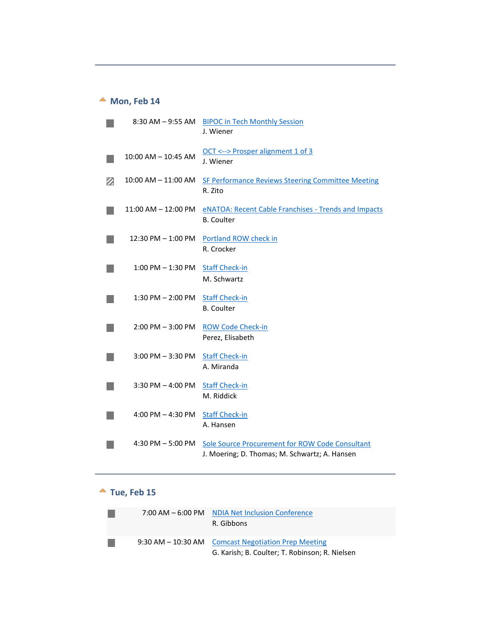#### **Mon, Feb 14**

<span id="page-5-0"></span>

|   |                         | 8:30 AM - 9:55 AM BIPOC in Tech Monthly Session<br>J. Wiener                                     |
|---|-------------------------|--------------------------------------------------------------------------------------------------|
|   | $10:00$ AM $-$ 10:45 AM | OCT <--> Prosper alignment 1 of 3<br>J. Wiener                                                   |
| Ø | $10:00$ AM $- 11:00$ AM | <b>SF Performance Reviews Steering Committee Meeting</b><br>R. Zito                              |
|   | 11:00 AM - 12:00 PM     | eNATOA: Recent Cable Franchises - Trends and Impacts<br><b>B.</b> Coulter                        |
|   | $12:30$ PM $-1:00$ PM   | Portland ROW check in<br>R. Crocker                                                              |
|   | $1:00$ PM $-1:30$ PM    | <b>Staff Check-in</b><br>M. Schwartz                                                             |
|   | $1:30$ PM $- 2:00$ PM   | <b>Staff Check-in</b><br><b>B.</b> Coulter                                                       |
|   | $2:00$ PM $-3:00$ PM    | <b>ROW Code Check-in</b><br>Perez, Elisabeth                                                     |
|   | $3:00$ PM $-3:30$ PM    | <b>Staff Check-in</b><br>A. Miranda                                                              |
|   | $3:30$ PM $-$ 4:00 PM   | <b>Staff Check-in</b><br>M. Riddick                                                              |
|   | 4:00 PM - 4:30 PM       | <b>Staff Check-in</b><br>A. Hansen                                                               |
|   | $4:30$ PM $-5:00$ PM    | Sole Source Procurement for ROW Code Consultant<br>J. Moering; D. Thomas; M. Schwartz; A. Hansen |

### **Tue, Feb 15**

<span id="page-5-1"></span>

| $7:00$ AM $-6:00$ PM | <b>NDIA Net Inclusion Conference</b><br>R. Gibbons                                                    |
|----------------------|-------------------------------------------------------------------------------------------------------|
|                      | 9:30 AM - 10:30 AM Comcast Negotiation Prep Meeting<br>G. Karish; B. Coulter; T. Robinson; R. Nielsen |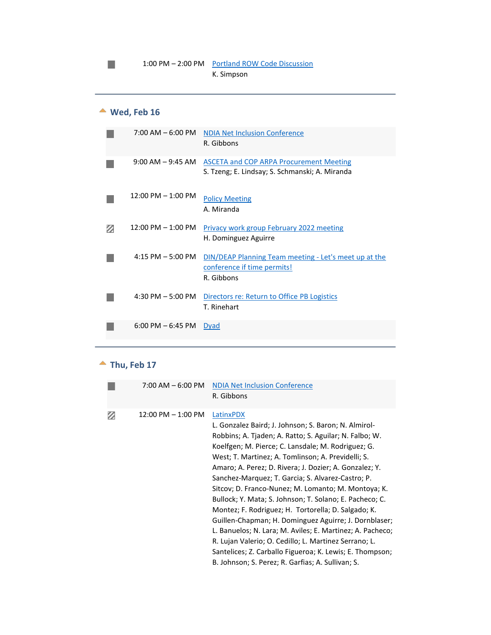# **Wed, Feb 16**

 $\mathcal{C}_{\mathcal{A}}$ 

<span id="page-6-0"></span>

| $7:00 \text{ AM} - 6:00 \text{ PM}$  | <b>NDIA Net Inclusion Conference</b><br>R. Gibbons                                                 |
|--------------------------------------|----------------------------------------------------------------------------------------------------|
| $9:00$ AM $-9:45$ AM                 | <b>ASCETA and COP ARPA Procurement Meeting</b><br>S. Tzeng; E. Lindsay; S. Schmanski; A. Miranda   |
| $12:00 \text{ PM} - 1:00 \text{ PM}$ | <b>Policy Meeting</b><br>A. Miranda                                                                |
| $12:00 \text{ PM} - 1:00 \text{ PM}$ | Privacy work group February 2022 meeting<br>H. Dominguez Aguirre                                   |
| $4:15$ PM $-5:00$ PM                 | DIN/DEAP Planning Team meeting - Let's meet up at the<br>conference if time permits!<br>R. Gibbons |
| 4:30 PM $-$ 5:00 PM                  | Directors re: Return to Office PB Logistics<br>T. Rinehart                                         |
| $6:00$ PM $-6:45$ PM                 | <b>Dyad</b>                                                                                        |

### **Thu, Feb 17**

<span id="page-6-1"></span>

| $7:00$ AM $-6:00$ PM   | <b>NDIA Net Inclusion Conference</b><br>R. Gibbons                                                                                                                                                                                                                                                                                                                                                                                                                                                                                                                                                                                                                                                                                                                                                                              |
|------------------------|---------------------------------------------------------------------------------------------------------------------------------------------------------------------------------------------------------------------------------------------------------------------------------------------------------------------------------------------------------------------------------------------------------------------------------------------------------------------------------------------------------------------------------------------------------------------------------------------------------------------------------------------------------------------------------------------------------------------------------------------------------------------------------------------------------------------------------|
| $12:00$ PM $- 1:00$ PM | LatinxPDX<br>L. Gonzalez Baird; J. Johnson; S. Baron; N. Almirol-<br>Robbins; A. Tjaden; A. Ratto; S. Aguilar; N. Falbo; W.<br>Koelfgen; M. Pierce; C. Lansdale; M. Rodriguez; G.<br>West; T. Martinez; A. Tomlinson; A. Previdelli; S.<br>Amaro; A. Perez; D. Rivera; J. Dozier; A. Gonzalez; Y.<br>Sanchez-Marquez; T. Garcia; S. Alvarez-Castro; P.<br>Sitcov; D. Franco-Nunez; M. Lomanto; M. Montoya; K.<br>Bullock; Y. Mata; S. Johnson; T. Solano; E. Pacheco; C.<br>Montez; F. Rodriguez; H. Tortorella; D. Salgado; K.<br>Guillen-Chapman; H. Dominguez Aguirre; J. Dornblaser;<br>L. Banuelos; N. Lara; M. Aviles; E. Martinez; A. Pacheco;<br>R. Lujan Valerio; O. Cedillo; L. Martinez Serrano; L.<br>Santelices; Z. Carballo Figueroa; K. Lewis; E. Thompson;<br>B. Johnson; S. Perez; R. Garfias; A. Sullivan; S. |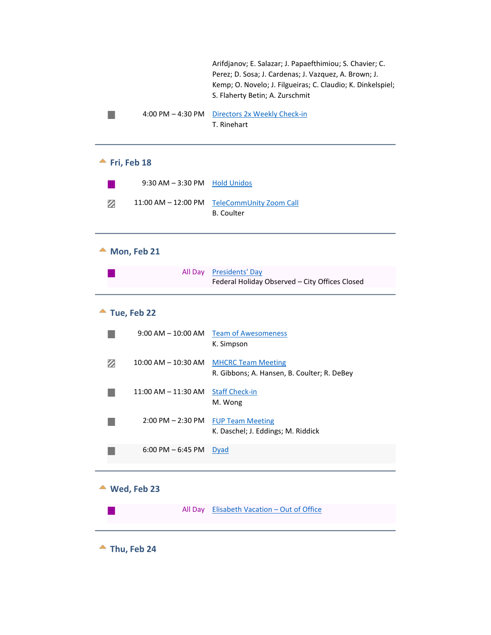<span id="page-7-4"></span><span id="page-7-3"></span><span id="page-7-2"></span><span id="page-7-1"></span><span id="page-7-0"></span>

|   |                               | Arifdjanov; E. Salazar; J. Papaefthimiou; S. Chavier; C.<br>Perez; D. Sosa; J. Cardenas; J. Vazquez, A. Brown; J.<br>Kemp; O. Novelo; J. Filgueiras; C. Claudio; K. Dinkelspiel;<br>S. Flaherty Betin; A. Zurschmit |
|---|-------------------------------|---------------------------------------------------------------------------------------------------------------------------------------------------------------------------------------------------------------------|
|   | 4:00 PM $-$ 4:30 PM           | Directors 2x Weekly Check-in<br>T. Rinehart                                                                                                                                                                         |
|   | Fri, Feb 18                   |                                                                                                                                                                                                                     |
|   | 9:30 AM - 3:30 PM Hold Unidos |                                                                                                                                                                                                                     |
| Ø | 11:00 AM - 12:00 PM           | TeleCommUnity Zoom Call<br><b>B.</b> Coulter                                                                                                                                                                        |
|   | Mon, Feb 21                   |                                                                                                                                                                                                                     |
|   | All Day                       | Presidents' Day<br>Federal Holiday Observed - City Offices Closed                                                                                                                                                   |
|   | Tue, Feb 22                   |                                                                                                                                                                                                                     |
|   | $9:00$ AM $-$ 10:00 AM        | <b>Team of Awesomeness</b><br>K. Simpson                                                                                                                                                                            |
| Ø | 10:00 AM - 10:30 AM           | <b>MHCRC Team Meeting</b><br>R. Gibbons; A. Hansen, B. Coulter; R. DeBey                                                                                                                                            |
|   | 11:00 AM - 11:30 AM           | <b>Staff Check-in</b><br>M. Wong                                                                                                                                                                                    |
|   | 2:00 PM - 2:30 PM             | <b>FUP Team Meeting</b><br>K. Daschel; J. Eddings; M. Riddick                                                                                                                                                       |
|   | $6:00$ PM $-6:45$ PM          | <b>Dyad</b>                                                                                                                                                                                                         |
|   | Wed, Feb 23                   |                                                                                                                                                                                                                     |
|   |                               | All Day Elisabeth Vacation - Out of Office                                                                                                                                                                          |
|   | Thu, Feb 24                   |                                                                                                                                                                                                                     |